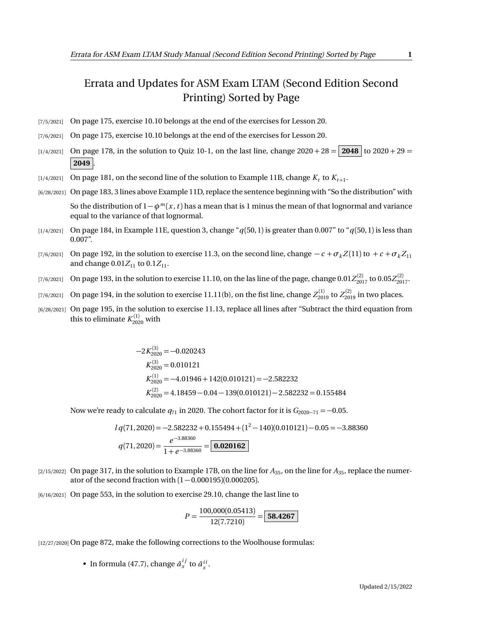## Errata and Updates for ASM Exam LTAM (Second Edition Second Printing) Sorted by Page

- [7/5/2021] On page 175, exercise 10.10 belongs at the end of the exercises for Lesson 20.
- [7/6/2021] On page 175, exercise 10.10 belongs at the end of the exercises for Lesson 20.
- $\lbrack 1/4/2021\rbrack$  On page 178, in the solution to Quiz 10-1, on the last line, change  $2020 + 28 = 2048$  to  $2020 + 29 = 100$ **2049** .
- $\lbrack 1/4/2021\rbrack$  On page 181, on the second line of the solution to Example 11B, change  $K_t$  to  $K_{t+1}.$
- [6/28/2021] On page 183, 3 lines above Example 11D, replace the sentence beginning with "So the distribution" with So the distribution of 1−*φ<sup>m</sup>* (*x* ,*t* ) has a mean that is 1 minus the mean of that lognormal and variance equal to the variance of that lognormal.
- [1/4/2021] On page 184, in Example 11E, question 3, change "*q*(50, 1) is greater than 0.007" to "*q*(50, 1) is less than 0.007".
- [7/6/2021] On page 192, in the solution to exercise 11.3, on the second line, change  $-c + \sigma_k Z(11)$  to  $+c + \sigma_k Z_{11}$ and change  $0.01Z_{11}$  to  $0.1Z_{11}$ .
- $_{[7/6/2021]}$  On page 193, in the solution to exercise 11.10, on the las line of the page, change  $0.01Z_{2017}^{(2)}$  to  $0.05Z_{2017}^{(2)}$ .
- $(7/6/2021]$  On page 194, in the solution to exercise  $11.11(b)$ , on the fist line, change  $Z_{2019}^{(1)}$  to  $Z_{2019}^{(2)}$  in two places.
- [6/28/2021] On page 195, in the solution to exercise 11.13, replace all lines after "Subtract the third equation from this to eliminate  $K_{2020}^{(1)}$  with

$$
-2K_{2020}^{(3)} = -0.020243
$$
  
\n
$$
K_{2020}^{(3)} = 0.010121
$$
  
\n
$$
K_{2020}^{(1)} = -4.01946 + 142(0.010121) = -2.582232
$$
  
\n
$$
K_{2020}^{(2)} = 4.18459 - 0.04 - 139(0.010121) - 2.582232 = 0.155484
$$

Now we're ready to calculate  $q_{71}$  in 2020. The cohort factor for it is  $G_{2020-71} = -0.05$ .

$$
lq(71,2020) = -2.582232 + 0.155494 + (1^2 - 140)(0.010121) - 0.05 = -3.88360
$$
  

$$
q(71,2020) = \frac{e^{-3.88360}}{1 + e^{-3.88360}} = \boxed{\textbf{0.020162}}
$$

[2/15/2022] On page 317, in the solution to Example 17B, on the line for  $A_{35}$ , on the line for  $A_{35}$ , replace the numerator of the second fraction with  $(1 - 0.000195)(0.000205)$ .

[6/16/2021] On page 553, in the solution to exercise 29.10, change the last line to

$$
P = \frac{100,000(0.05413)}{12(7.7210)} = \boxed{58.4267}
$$

[12/27/2020] On page 872, make the following corrections to the Woolhouse formulas:

• In formula (47.7), change  $\bar{a}_x^{ij}$  to  $\bar{a}_x^{ii}$ .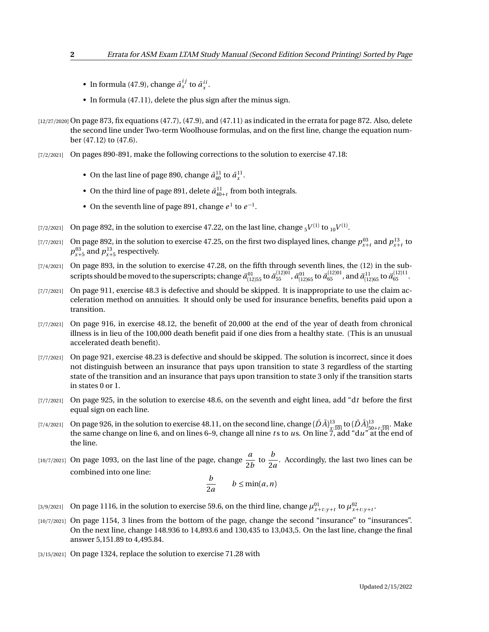- In formula (47.9), change  $\bar{a}_x^{ij}$  to  $\bar{a}_x^{ii}$ .
- In formula (47.11), delete the plus sign after the minus sign.
- $[12/27/2020]$  On page 873, fix equations  $(47.7)$ ,  $(47.9)$ , and  $(47.11)$  as indicated in the errata for page 872. Also, delete the second line under Two-term Woolhouse formulas, and on the first line, change the equation number (47.12) to (47.6).
- [7/2/2021] On pages 890-891, make the following corrections to the solution to exercise 47.18:
	- On the last line of page 890, change  $\bar{a}_{40}^{11}$  to  $\bar{a}_x^{11}$ .
	- On the third line of page 891, delete  $\bar{a}^{11}_{40+t}$  from both integrals.
	- On the seventh line of page 891, change  $e^1$  to  $e^{-1}$ .
- $_{[7/2/2021]}$   $\,$  On page 892, in the solution to exercise 47.22, on the last line, change  $_{5}V^{(1)}$  to  $_{10}V^{(1)}.$
- [7/7/2021] On page 892, in the solution to exercise 47.25, on the first two displayed lines, change  $p_{x+t}^{03}$  and  $p_{x+t}^{13}$  to  $p_{x+5}^{03}$  and  $p_{x+5}^{13}$  respectively.
- [7/4/2021] On page 893, in the solution to exercise 47.28, on the fifth through seventh lines, the (12) in the subscripts should be moved to the superscripts; change  $\ddot{a}_{[12]55}^{01}$  to  $\ddot{a}_{55}^{(12)01}$ ,  $\ddot{a}_{05}^{01}$  and  $\ddot{a}_{[12]65}^{11}$  to  $\ddot{a}_{65}^{(12)11}$ .
- [7/7/2021] On page 911, exercise 48.3 is defective and should be skipped. It is inappropriate to use the claim acceleration method on annuities. It should only be used for insurance benefits, benefits paid upon a transition.
- [7/7/2021] On page 916, in exercise 48.12, the benefit of 20,000 at the end of the year of death from chronical illness is in lieu of the 100,000 death benefit paid if one dies from a healthy state. (This is an unusual accelerated death benefit).
- [7/7/2021] On page 921, exercise 48.23 is defective and should be skipped. The solution is incorrect, since it does not distinguish between an insurance that pays upon transition to state 3 regardless of the starting state of the transition and an insurance that pays upon transition to state 3 only if the transition starts in states 0 or 1.
- [7/7/2021] On page 925, in the solution to exercise 48.6, on the seventh and eight linea, add "d*t* before the first equal sign on each line.
- $(7/4/2021]$  On page 926, in the solution to exercise 48.11, on the second line, change  $(D\bar{A})^{13}_{\underline{x};\overline{10}|}$  to  $(D\bar{A})^{13}_{50+t;\overline{10}|}$ . Make the same change on line 6, and on lines 6–9, change all nine *t* s to *u*s. On line 7, add "d*u*" at the end of the line.
- $\begin{bmatrix}10/7/2021\end{bmatrix}$  On page 1093, on the last line of the page, change  $\frac{a}{2}$  $\frac{a}{2b}$  to  $\frac{b}{2a}$  $\frac{1}{2a}$ . Accordingly, the last two lines can be combined into one line:

$$
\frac{b}{2a} \qquad b \le \min(a, n)
$$

- [3/9/2021] On page 1116, in the solution to exercise 59.6, on the third line, change  $\mu_{x+t:y+t}^{01}$  to  $\mu_{x+t:y+t}^{02}$ .
- [10/7/2021] On page 1154, 3 lines from the bottom of the page, change the second "insurance" to "insurances". On the next line, change 148.936 to 14,893.6 and 130,435 to 13,043,5. On the last line, change the final answer 5,151.89 to 4,495.84.
- [3/15/2021] On page 1324, replace the solution to exercise 71.28 with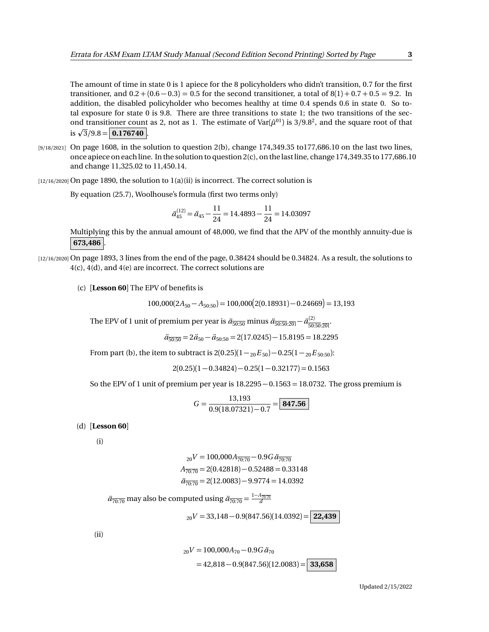The amount of time in state 0 is 1 apiece for the 8 policyholders who didn't transition, 0.7 for the first transitioner, and  $0.2 + (0.6 - 0.3) = 0.5$  for the second transitioner, a total of  $8(1) + 0.7 + 0.5 = 9.2$ . In addition, the disabled policyholder who becomes healthy at time 0.4 spends 0.6 in state 0. So total exposure for state 0 is 9.8. There are three transitions to state 1; the two transitions of the second transitioner count as 2, not as 1. The estimate of  $Var(\hat{\mu}^{01})$  is 3/9.8<sup>2</sup>, and the square root of that ond transitioner count<br>is  $\sqrt{3}/9.8 = 0.176740$ .

 $[9/18/2021]$  On page 1608, in the solution to question 2(b), change 174,349.35 to 177,686.10 on the last two lines, once apiece on each line. In the solution to question 2(c), on the last line, change 174,349.35 to 177,686.10 and change 11,325.02 to 11,450.14.

[12/16/2020] On page 1890, the solution to 1(a)(ii) is incorrect. The correct solution is

By equation (25.7), Woolhouse's formula (first two terms only)

$$
\ddot{a}_{45}^{(12)} = \ddot{a}_{45} - \frac{11}{24} = 14.4893 - \frac{11}{24} = 14.03097
$$

Multiplying this by the annual amount of 48,000, we find that the APV of the monthly annuity-due is **673,486** .

[12/16/2020] On page 1893, 3 lines from the end of the page, 0.38424 should be 0.34824. As a result, the solutions to 4(c), 4(d), and 4(e) are incorrect. The correct solutions are

(c) [**Lesson 60**] The EPV of benefits is

 $100,000(2A_{50}-A_{50:50})=100,000(2(0.18931)-0.24669)=13,193$ 

The EPV of 1 unit of premium per year is  $\ddot{a}_{\overline{50:50}}$  minus  $\ddot{a}_{\overline{50:50:20|}} - \ddot{a}_{\overline{50:50}}^{(2)}$  $\frac{(2)}{50:50:20}$ 

$$
\ddot{a}_{\overline{50:50}} = 2\ddot{a}_{50} - \ddot{a}_{50:50} = 2(17.0245) - 15.8195 = 18.2295
$$

From part (b), the item to subtract is  $2(0.25)(1 -_{20}E_{50}) - 0.25(1 -_{20}E_{50:50})$ :

$$
2(0.25)(1-0.34824)-0.25(1-0.32177)=0.1563\\
$$

So the EPV of 1 unit of premium per year is 18.2295 − 0.1563 = 18.0732. The gross premium is

$$
G = \frac{13,193}{0.9(18.07321) - 0.7} = \boxed{\textbf{847.56}}
$$

(d) [**Lesson 60**]

(i)

$$
{}_{20}V = 100,000A_{\overline{70:70}} - 0.9G\ddot{a}_{\overline{70:70}}
$$

$$
A_{\overline{70:70}} = 2(0.42818) - 0.52488 = 0.33148
$$

$$
\ddot{a}_{\overline{70:70}} = 2(12.0083) - 9.9774 = 14.0392
$$

 $\ddot{a}_{\overline{70:70}}$  may also be computed using  $\ddot{a}_{\overline{70:70}} = \frac{1-A_{\overline{70:70}}}{d}$ 

<sup>20</sup>*V* = 33,148 − 0.9(847.56)(14.0392) = **22,439**

(ii)

$$
{}_{20}V = 100,000A_{70} - 0.9G \ddot{a}_{70}
$$
  
= 42,818 - 0.9(847.56)(12.0083) = 33,658